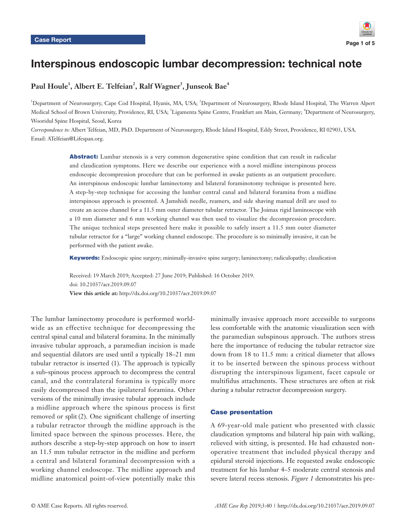

# Interspinous endoscopic lumbar decompression: technical note

## $\mathbf{Paul~Houle}^{1}, \mathbf{Albert~E.~Telfeian}^{2}, \mathbf{Ralf~Wagner}^{3}, \mathbf{Junseok~Bae}^{4}$

1 Department of Neurosurgery, Cape Cod Hospital, Hyanis, MA, USA; <sup>2</sup> Department of Neurosurgery, Rhode Island Hospital, The Warren Alpert Medical School of Brown University, Providence, RI, USA; <sup>3</sup>Ligamenta Spine Centre, Frankfurt am Main, Germany; <sup>4</sup>Department of Neurosurgery, Wooridul Spine Hospital, Seoul, Korea

*Correspondence to:* Albert Telfeian, MD, PhD. Department of Neurosurgery, Rhode Island Hospital, Eddy Street, Providence, RI 02903, USA. Email: ATelfeian@Lifespan.org.

> Abstract: Lumbar stenosis is a very common degenerative spine condition that can result in radicular and claudication symptoms. Here we describe our experience with a novel midline interspinous process endoscopic decompression procedure that can be performed in awake patients as an outpatient procedure. An interspinous endoscopic lumbar laminectomy and bilateral foraminotomy technique is presented here. A step-by-step technique for accessing the lumbar central canal and bilateral foramina from a midline interspinous approach is presented. A Jamshidi needle, reamers, and side shaving manual drill are used to create an access channel for a 11.5 mm outer diameter tubular retractor. The Joimax rigid laminoscope with a 10 mm diameter and 6 mm working channel was then used to visualize the decompression procedure. The unique technical steps presented here make it possible to safely insert a 11.5 mm outer diameter tubular retractor for a "large" working channel endoscope. The procedure is so minimally invasive, it can be performed with the patient awake.

> Keywords: Endoscopic spine surgery; minimally-invasive spine surgery; laminectomy; radiculopathy; claudication

Received: 19 March 2019; Accepted: 27 June 2019; Published: 16 October 2019. doi: 10.21037/acr.2019.09.07 **View this article at:** http://dx.doi.org/10.21037/acr.2019.09.07

The lumbar laminectomy procedure is performed worldwide as an effective technique for decompressing the central spinal canal and bilateral foramina. In the minimally invasive tubular approach, a paramedian incision is made and sequential dilators are used until a typically 18–21 mm tubular retractor is inserted (1). The approach is typically a sub-spinous process approach to decompress the central canal, and the contralateral foramina is typically more easily decompressed than the ipsilateral foramina. Other versions of the minimally invasive tubular approach include a midline approach where the spinous process is first removed or split (2). One significant challenge of inserting a tubular retractor through the midline approach is the limited space between the spinous processes. Here, the authors describe a step-by-step approach on how to insert an 11.5 mm tubular retractor in the midline and perform a central and bilateral foraminal decompression with a working channel endoscope. The midline approach and midline anatomical point-of-view potentially make this

minimally invasive approach more accessible to surgeons less comfortable with the anatomic visualization seen with the paramedian subspinous approach. The authors stress here the importance of reducing the tubular retractor size down from 18 to 11.5 mm: a critical diameter that allows it to be inserted between the spinous process without disrupting the interspinous ligament, facet capsule or multifidus attachments. These structures are often at risk during a tubular retractor decompression surgery.

#### Case presentation

A 69-year-old male patient who presented with classic claudication symptoms and bilateral hip pain with walking, relieved with sitting, is presented. He had exhausted nonoperative treatment that included physical therapy and epidural steroid injections. He requested awake endoscopic treatment for his lumbar 4–5 moderate central stenosis and severe lateral recess stenosis. *Figure 1* demonstrates his pre-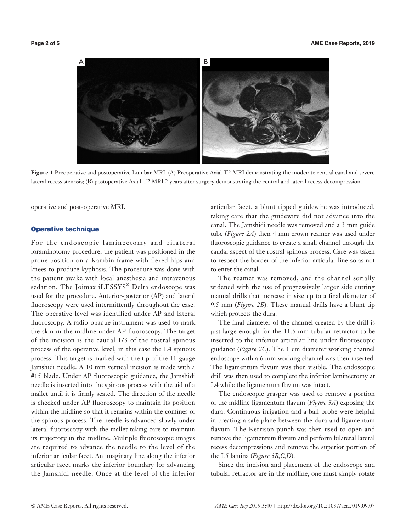

**Figure 1** Preoperative and postoperative Lumbar MRI. (A) Preoperative Axial T2 MRI demonstrating the moderate central canal and severe lateral recess stenosis; (B) postoperative Axial T2 MRI 2 years after surgery demonstrating the central and lateral recess decompression.

operative and post-operative MRI.

#### Operative technique

For the endoscopic laminectomy and bilateral foraminotomy procedure, the patient was positioned in the prone position on a Kambin frame with flexed hips and knees to produce kyphosis. The procedure was done with the patient awake with local anesthesia and intravenous sedation. The Joimax iLESSYS® Delta endoscope was used for the procedure. Anterior-posterior (AP) and lateral fluoroscopy were used intermittently throughout the case. The operative level was identified under AP and lateral fluoroscopy. A radio-opaque instrument was used to mark the skin in the midline under AP fluoroscopy. The target of the incision is the caudal 1/3 of the rostral spinous process of the operative level, in this case the L4 spinous process. This target is marked with the tip of the 11-gauge Jamshidi needle. A 10 mm vertical incision is made with a #15 blade. Under AP fluoroscopic guidance, the Jamshidi needle is inserted into the spinous process with the aid of a mallet until it is firmly seated. The direction of the needle is checked under AP fluoroscopy to maintain its position within the midline so that it remains within the confines of the spinous process. The needle is advanced slowly under lateral fluoroscopy with the mallet taking care to maintain its trajectory in the midline. Multiple fluoroscopic images are required to advance the needle to the level of the inferior articular facet. An imaginary line along the inferior articular facet marks the inferior boundary for advancing the Jamshidi needle. Once at the level of the inferior

articular facet, a blunt tipped guidewire was introduced, taking care that the guidewire did not advance into the canal. The Jamshidi needle was removed and a 3 mm guide tube (*Figure 2A*) then 4 mm crown reamer was used under fluoroscopic guidance to create a small channel through the caudal aspect of the rostral spinous process. Care was taken to respect the border of the inferior articular line so as not to enter the canal.

The reamer was removed, and the channel serially widened with the use of progressively larger side cutting manual drills that increase in size up to a final diameter of 9.5 mm (*Figure 2B*). These manual drills have a blunt tip which protects the dura.

The final diameter of the channel created by the drill is just large enough for the 11.5 mm tubular retractor to be inserted to the inferior articular line under fluoroscopic guidance (*Figure 2C*). The 1 cm diameter working channel endoscope with a 6 mm working channel was then inserted. The ligamentum flavum was then visible. The endoscopic drill was then used to complete the inferior laminectomy at L4 while the ligamentum flavum was intact.

The endoscopic grasper was used to remove a portion of the midline ligamentum flavum (*Figure 3A*) exposing the dura. Continuous irrigation and a ball probe were helpful in creating a safe plane between the dura and ligamentum flavum. The Kerrison punch was then used to open and remove the ligamentum flavum and perform bilateral lateral recess decompressions and remove the superior portion of the L5 lamina (*Figure 3B,C,D*).

Since the incision and placement of the endoscope and tubular retractor are in the midline, one must simply rotate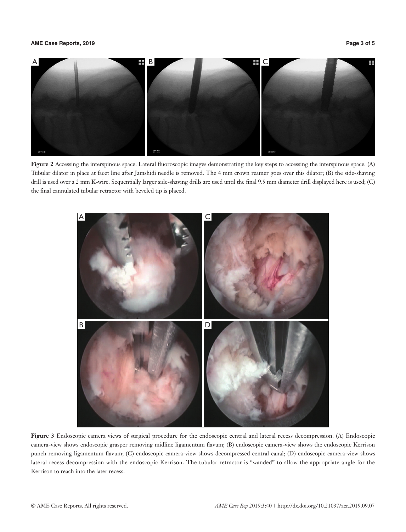#### **AME Case Reports, 2019 Page 3 of 5**



**Figure 2** Accessing the interspinous space. Lateral fluoroscopic images demonstrating the key steps to accessing the interspinous space. (A) Tubular dilator in place at facet line after Jamshidi needle is removed. The 4 mm crown reamer goes over this dilator; (B) the side-shaving drill is used over a 2 mm K-wire. Sequentially larger side-shaving drills are used until the final 9.5 mm diameter drill displayed here is used; (C) the final cannulated tubular retractor with beveled tip is placed.



**Figure 3** Endoscopic camera views of surgical procedure for the endoscopic central and lateral recess decompression. (A) Endoscopic camera-view shows endoscopic grasper removing midline ligamentum flavum; (B) endoscopic camera-view shows the endoscopic Kerrison punch removing ligamentum flavum; (C) endoscopic camera-view shows decompressed central canal; (D) endoscopic camera-view shows lateral recess decompression with the endoscopic Kerrison. The tubular retractor is "wanded" to allow the appropriate angle for the Kerrison to reach into the later recess.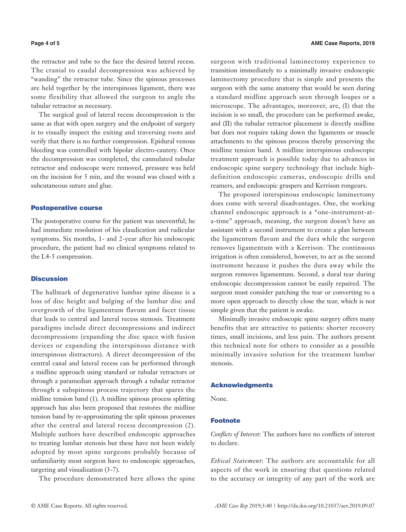the retractor and tube to the face the desired lateral recess. The cranial to caudal decompression was achieved by "wanding" the retractor tube. Since the spinous processes are held together by the interspinous ligament, there was some flexibility that allowed the surgeon to angle the tubular retractor as necessary.

The surgical goal of lateral recess decompression is the same as that with open surgery and the endpoint of surgery is to visually inspect the exiting and traversing roots and verify that there is no further compression. Epidural venous bleeding was controlled with bipolar electro-cautery. Once the decompression was completed, the cannulated tubular retractor and endoscope were removed, pressure was held on the incision for 5 min, and the wound was closed with a subcutaneous suture and glue.

#### Postoperative course

The postoperative course for the patient was uneventful; he had immediate resolution of his claudication and radicular symptoms. Six months, 1- and 2-year after his endoscopic procedure, the patient had no clinical symptoms related to the L4-5 compression.

#### **Discussion**

The hallmark of degenerative lumbar spine disease is a loss of disc height and bulging of the lumbar disc and overgrowth of the ligamentum flavum and facet tissue that leads to central and lateral recess stenosis. Treatment paradigms include direct decompressions and indirect decompressions (expanding the disc space with fusion devices or expanding the interspinous distance with interspinous distractors). A direct decompression of the central canal and lateral recess can be performed through a midline approach using standard or tubular retractors or through a paramedian approach through a tubular retractor through a subspinous process trajectory that spares the midline tension band (1). A midline spinous process splitting approach has also been proposed that restores the midline tension band by re-approximating the split spinous processes after the central and lateral recess decompression (2). Multiple authors have described endoscopic approaches to treating lumbar stenosis but these have not been widely adopted by most spine surgeons probably because of unfamiliarity most surgeon have to endoscopic approaches, targeting and visualization (3-7).

The procedure demonstrated here allows the spine

surgeon with traditional laminectomy experience to transition immediately to a minimally invasive endoscopic laminectomy procedure that is simple and presents the surgeon with the same anatomy that would be seen during a standard midline approach seen through loupes or a microscope. The advantages, moreover, are, (I) that the incision is so small, the procedure can be performed awake, and (II) the tubular retractor placement is directly midline but does not require taking down the ligaments or muscle attachments to the spinous process thereby preserving the midline tension band. A midline interspinous endoscopic treatment approach is possible today due to advances in endoscopic spine surgery technology that include highdefinition endoscopic cameras, endoscopic drills and reamers, and endoscopic graspers and Kerrison rongeurs.

The proposed interspinous endoscopic laminectomy does come with several disadvantages. One, the working channel endoscopic approach is a "one-instrument-ata-time" approach, meaning, the surgeon doesn't have an assistant with a second instrument to create a plan between the ligamentum flavum and the dura while the surgeon removes ligamentum with a Kerrison. The continuous irrigation is often considered, however, to act as the second instrument because it pushes the dura away while the surgeon removes ligamentum. Second, a dural tear during endoscopic decompression cannot be easily repaired. The surgeon must consider patching the tear or converting to a more open approach to directly close the tear, which is not simple given that the patient is awake.

Minimally invasive endoscopic spine surgery offers many benefits that are attractive to patients: shorter recovery times, small incisions, and less pain. The authors present this technical note for others to consider as a possible minimally invasive solution for the treatment lumbar stenosis.

### Acknowledgments

None.

### Footnote

*Conflicts of Interest*: The authors have no conflicts of interest to declare.

*Ethical Statement*: The authors are accountable for all aspects of the work in ensuring that questions related to the accuracy or integrity of any part of the work are